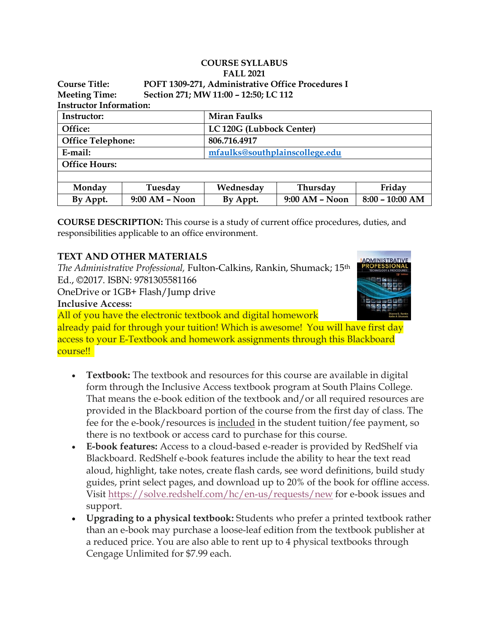| <b>COURSE SYLLABUS</b><br><b>FALL 2021</b> |                  |                                                   |                  |                   |  |  |  |  |
|--------------------------------------------|------------------|---------------------------------------------------|------------------|-------------------|--|--|--|--|
| Course Title:                              |                  | POFT 1309-271, Administrative Office Procedures I |                  |                   |  |  |  |  |
| <b>Meeting Time:</b>                       |                  | Section 271; MW 11:00 - 12:50; LC 112             |                  |                   |  |  |  |  |
| <b>Instructor Information:</b>             |                  |                                                   |                  |                   |  |  |  |  |
| Instructor:                                |                  | <b>Miran Faulks</b>                               |                  |                   |  |  |  |  |
| Office:                                    |                  | LC 120G (Lubbock Center)                          |                  |                   |  |  |  |  |
| <b>Office Telephone:</b>                   |                  | 806.716.4917                                      |                  |                   |  |  |  |  |
| E-mail:                                    |                  | mfaulks@southplainscollege.edu                    |                  |                   |  |  |  |  |
| <b>Office Hours:</b>                       |                  |                                                   |                  |                   |  |  |  |  |
|                                            |                  |                                                   |                  |                   |  |  |  |  |
| Monday                                     | Tuesday          | Wednesday                                         | Thursday         | Friday            |  |  |  |  |
| By Appt.                                   | $9:00 AM - Noon$ | By Appt.                                          | $9:00$ AM – Noon | $8:00 - 10:00$ AM |  |  |  |  |

**COURSE DESCRIPTION:** This course is a study of current office procedures, duties, and responsibilities applicable to an office environment.

### **TEXT AND OTHER MATERIALS**

*The Administrative Professional,* Fulton-Calkins, Rankin, Shumack; 15th Ed., ©2017. ISBN: 9781305581166

OneDrive or 1GB+ Flash/Jump drive

**Inclusive Access:**

All of you have the electronic textbook and digital homework

already paid for through your tuition! Which is awesome! You will have first day access to your E-Textbook and homework assignments through this Blackboard course!!  

- **Textbook:** The textbook and resources for this course are available in digital form through the Inclusive Access textbook program at South Plains College. That means the e-book edition of the textbook and/or all required resources are provided in the Blackboard portion of the course from the first day of class. The fee for the e-book/resources is included in the student tuition/fee payment, so there is no textbook or access card to purchase for this course.
- **E-book features:** Access to a cloud-based e-reader is provided by RedShelf via Blackboard. RedShelf e-book features include the ability to hear the text read aloud, highlight, take notes, create flash cards, see word definitions, build study guides, print select pages, and download up to 20% of the book for offline access. Visit <https://solve.redshelf.com/hc/en-us/requests/new> for e-book issues and support.
- **Upgrading to a physical textbook:** Students who prefer a printed textbook rather than an e-book may purchase a loose-leaf edition from the textbook publisher at a reduced price. You are also able to rent up to 4 physical textbooks through Cengage Unlimited for \$7.99 each.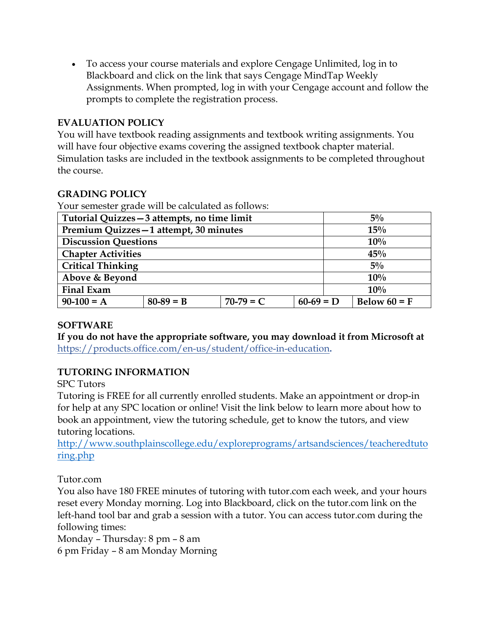• To access your course materials and explore Cengage Unlimited, log in to Blackboard and click on the link that says Cengage MindTap Weekly Assignments. When prompted, log in with your Cengage account and follow the prompts to complete the registration process.

### **EVALUATION POLICY**

You will have textbook reading assignments and textbook writing assignments. You will have four objective exams covering the assigned textbook chapter material. Simulation tasks are included in the textbook assignments to be completed throughout the course.

## **GRADING POLICY**

Your semester grade will be calculated as follows:

| Tutorial Quizzes - 3 attempts, no time limit |             |             |             |  | $5\%$          |  |  |
|----------------------------------------------|-------------|-------------|-------------|--|----------------|--|--|
| Premium Quizzes-1 attempt, 30 minutes        |             |             |             |  | 15%            |  |  |
| <b>Discussion Questions</b>                  |             |             |             |  | 10%            |  |  |
| <b>Chapter Activities</b>                    |             |             |             |  | 45%            |  |  |
| <b>Critical Thinking</b>                     |             |             |             |  | $5\%$          |  |  |
| Above & Beyond                               |             |             |             |  | 10%            |  |  |
| <b>Final Exam</b>                            |             |             |             |  | 10%            |  |  |
| $90-100 = A$                                 | $80-89 = B$ | $70-79 = C$ | $60-69 = D$ |  | Below $60 = F$ |  |  |

### **SOFTWARE**

**If you do not have the appropriate software, you may download it from Microsoft at** <https://products.office.com/en-us/student/office-in-education>**.**

## **TUTORING INFORMATION**

SPC Tutors

Tutoring is FREE for all currently enrolled students. Make an appointment or drop-in for help at any SPC location or online! Visit the link below to learn more about how to book an appointment, view the tutoring schedule, get to know the tutors, and view tutoring locations.

[http://www.southplainscollege.edu/exploreprograms/artsandsciences/teacheredtuto](http://www.southplainscollege.edu/exploreprograms/artsandsciences/teacheredtutoring.php) [ring.php](http://www.southplainscollege.edu/exploreprograms/artsandsciences/teacheredtutoring.php)

Tutor.com

You also have 180 FREE minutes of tutoring with tutor.com each week, and your hours reset every Monday morning. Log into Blackboard, click on the tutor.com link on the left-hand tool bar and grab a session with a tutor. You can access tutor.com during the following times:

Monday – Thursday: 8 pm – 8 am

6 pm Friday – 8 am Monday Morning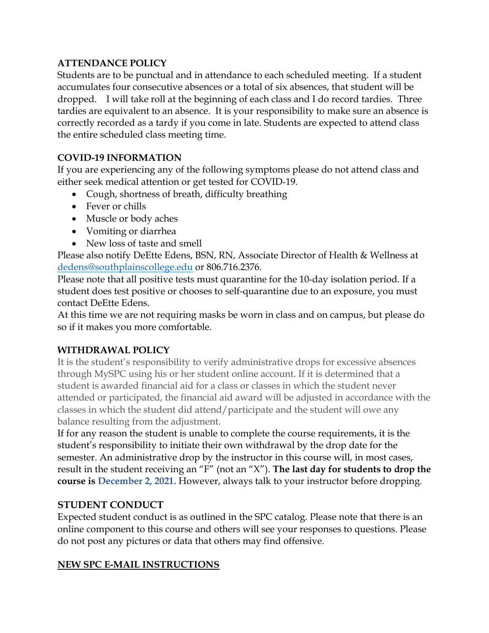### **ATTENDANCE POLICY**

Students are to be punctual and in attendance to each scheduled meeting. If a student accumulates four consecutive absences or a total of six absences, that student will be dropped. I will take roll at the beginning of each class and I do record tardies. Three tardies are equivalent to an absence. It is your responsibility to make sure an absence is correctly recorded as a tardy if you come in late. Students are expected to attend class the entire scheduled class meeting time.

### **COVID-19 INFORMATION**

If you are experiencing any of the following symptoms please do not attend class and either seek medical attention or get tested for COVID-19.

- Cough, shortness of breath, difficulty breathing
- Fever or chills
- Muscle or body aches
- Vomiting or diarrhea
- New loss of taste and smell

Please also notify DeEtte Edens, BSN, RN, Associate Director of Health & Wellness at [dedens@southplainscollege.edu](mailto:dedens@southplainscollege.edu) or 806.716.2376.

Please note that all positive tests must quarantine for the 10-day isolation period. If a student does test positive or chooses to self-quarantine due to an exposure, you must contact DeEtte Edens.

At this time we are not requiring masks be worn in class and on campus, but please do so if it makes you more comfortable.

## **WITHDRAWAL POLICY**

It is the student's responsibility to verify administrative drops for excessive absences through MySPC using his or her student online account. If it is determined that a student is awarded financial aid for a class or classes in which the student never attended or participated, the financial aid award will be adjusted in accordance with the classes in which the student did attend/participate and the student will owe any balance resulting from the adjustment.

If for any reason the student is unable to complete the course requirements, it is the student's responsibility to initiate their own withdrawal by the drop date for the semester. An administrative drop by the instructor in this course will, in most cases, result in the student receiving an "F" (not an "X"). **The last day for students to drop the course is December 2, 2021.** However, always talk to your instructor before dropping.

## **STUDENT CONDUCT**

Expected student conduct is as outlined in the SPC catalog. Please note that there is an online component to this course and others will see your responses to questions. Please do not post any pictures or data that others may find offensive.

### **NEW SPC E-MAIL INSTRUCTIONS**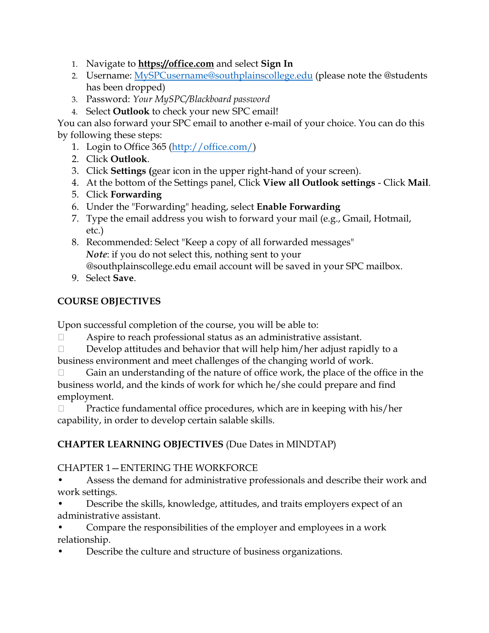- 1. Navigate to **[https://office.com](https://office.com/)** and select **Sign In**
- 2. Username: [MySPCusername@southplainscollege.edu](mailto:MySPCusername@southplainscollege.edu) (please note the @students has been dropped)
- 3. Password: *Your MySPC/Blackboard password*
- 4. Select **Outlook** to check your new SPC email!

You can also forward your SPC email to another e-mail of your choice. You can do this by following these steps:

- 1. Login to Office 365 [\(http://office.com/\)](http://office.com/)
- 2. Click **Outlook**.
- 3. Click **Settings (**gear icon in the upper right-hand of your screen).
- 4. At the bottom of the Settings panel, Click **View all Outlook settings** Click **Mail**.
- 5. Click **Forwarding**
- 6. Under the "Forwarding" heading, select **Enable Forwarding**
- 7. Type the email address you wish to forward your mail (e.g., Gmail, Hotmail, etc.)
- 8. Recommended: Select "Keep a copy of all forwarded messages" *Note*: if you do not select this, nothing sent to your @southplainscollege.edu email account will be saved in your SPC mailbox.
- 9. Select **Save**.

## **COURSE OBJECTIVES**

Upon successful completion of the course, you will be able to:

- Aspire to reach professional status as an administrative assistant.
- $\Box$  Develop attitudes and behavior that will help him/her adjust rapidly to a business environment and meet challenges of the changing world of work.

 $\Box$  Gain an understanding of the nature of office work, the place of the office in the business world, and the kinds of work for which he/she could prepare and find employment.

 $\Box$  Practice fundamental office procedures, which are in keeping with his/her capability, in order to develop certain salable skills.

## **CHAPTER LEARNING OBJECTIVES** (Due Dates in MINDTAP)

## CHAPTER 1—ENTERING THE WORKFORCE

- Assess the demand for administrative professionals and describe their work and work settings.
- Describe the skills, knowledge, attitudes, and traits employers expect of an administrative assistant.
- Compare the responsibilities of the employer and employees in a work relationship.
- Describe the culture and structure of business organizations.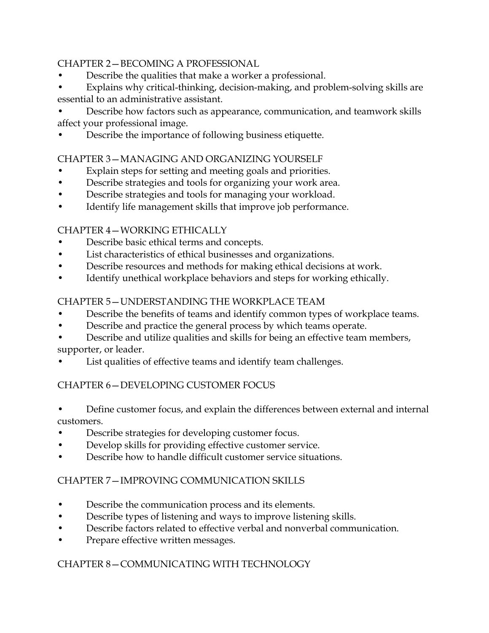### CHAPTER 2—BECOMING A PROFESSIONAL

- Describe the qualities that make a worker a professional.
- Explains why critical-thinking, decision-making, and problem-solving skills are essential to an administrative assistant.

• Describe how factors such as appearance, communication, and teamwork skills affect your professional image.

• Describe the importance of following business etiquette.

## CHAPTER 3—MANAGING AND ORGANIZING YOURSELF

- Explain steps for setting and meeting goals and priorities.
- Describe strategies and tools for organizing your work area.
- Describe strategies and tools for managing your workload.
- Identify life management skills that improve job performance.

## CHAPTER 4—WORKING ETHICALLY

- Describe basic ethical terms and concepts.
- List characteristics of ethical businesses and organizations.
- Describe resources and methods for making ethical decisions at work.
- Identify unethical workplace behaviors and steps for working ethically.

## CHAPTER 5—UNDERSTANDING THE WORKPLACE TEAM

- Describe the benefits of teams and identify common types of workplace teams.
- Describe and practice the general process by which teams operate.
- Describe and utilize qualities and skills for being an effective team members, supporter, or leader.
- List qualities of effective teams and identify team challenges.

## CHAPTER 6—DEVELOPING CUSTOMER FOCUS

- Define customer focus, and explain the differences between external and internal customers.
- Describe strategies for developing customer focus.
- Develop skills for providing effective customer service.
- Describe how to handle difficult customer service situations.

## CHAPTER 7—IMPROVING COMMUNICATION SKILLS

- Describe the communication process and its elements.
- Describe types of listening and ways to improve listening skills.
- Describe factors related to effective verbal and nonverbal communication.
- Prepare effective written messages.

## CHAPTER 8—COMMUNICATING WITH TECHNOLOGY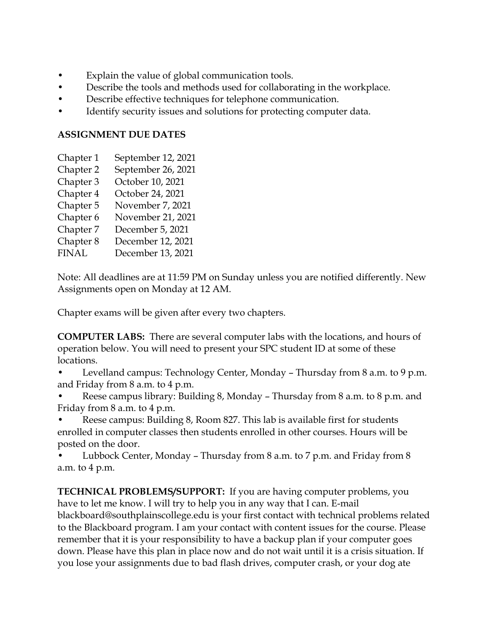- Explain the value of global communication tools.
- Describe the tools and methods used for collaborating in the workplace.
- Describe effective techniques for telephone communication.
- Identify security issues and solutions for protecting computer data.

### **ASSIGNMENT DUE DATES**

- Chapter 1 September 12, 2021
- Chapter 2 September 26, 2021
- Chapter 3 October 10, 2021
- Chapter 4 October 24, 2021
- Chapter 5 November 7, 2021
- Chapter 6 November 21, 2021
- Chapter 7 December 5, 2021
- Chapter 8 December 12, 2021
- FINAL December 13, 2021

Note: All deadlines are at 11:59 PM on Sunday unless you are notified differently. New Assignments open on Monday at 12 AM.

Chapter exams will be given after every two chapters.

**COMPUTER LABS:** There are several computer labs with the locations, and hours of operation below. You will need to present your SPC student ID at some of these locations.

• Levelland campus: Technology Center, Monday – Thursday from 8 a.m. to 9 p.m. and Friday from 8 a.m. to 4 p.m.

• Reese campus library: Building 8, Monday – Thursday from 8 a.m. to 8 p.m. and Friday from 8 a.m. to 4 p.m.

• Reese campus: Building 8, Room 827. This lab is available first for students enrolled in computer classes then students enrolled in other courses. Hours will be posted on the door.

• Lubbock Center, Monday – Thursday from 8 a.m. to 7 p.m. and Friday from 8 a.m. to 4 p.m.

**TECHNICAL PROBLEMS/SUPPORT:** If you are having computer problems, you have to let me know. I will try to help you in any way that I can. E-mail blackboard@southplainscollege.edu is your first contact with technical problems related to the Blackboard program. I am your contact with content issues for the course. Please remember that it is your responsibility to have a backup plan if your computer goes down. Please have this plan in place now and do not wait until it is a crisis situation. If you lose your assignments due to bad flash drives, computer crash, or your dog ate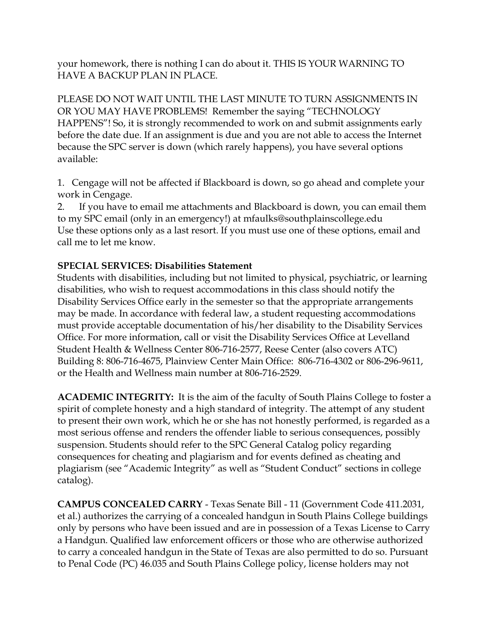your homework, there is nothing I can do about it. THIS IS YOUR WARNING TO HAVE A BACKUP PLAN IN PLACE.

PLEASE DO NOT WAIT UNTIL THE LAST MINUTE TO TURN ASSIGNMENTS IN OR YOU MAY HAVE PROBLEMS! Remember the saying "TECHNOLOGY HAPPENS"! So, it is strongly recommended to work on and submit assignments early before the date due. If an assignment is due and you are not able to access the Internet because the SPC server is down (which rarely happens), you have several options available:

1. Cengage will not be affected if Blackboard is down, so go ahead and complete your work in Cengage.

2. If you have to email me attachments and Blackboard is down, you can email them to my SPC email (only in an emergency!) at mfaulks@southplainscollege.edu Use these options only as a last resort. If you must use one of these options, email and call me to let me know.

### **SPECIAL SERVICES: Disabilities Statement**

Students with disabilities, including but not limited to physical, psychiatric, or learning disabilities, who wish to request accommodations in this class should notify the Disability Services Office early in the semester so that the appropriate arrangements may be made. In accordance with federal law, a student requesting accommodations must provide acceptable documentation of his/her disability to the Disability Services Office. For more information, call or visit the Disability Services Office at Levelland Student Health & Wellness Center 806-716-2577, Reese Center (also covers ATC) Building 8: 806-716-4675, Plainview Center Main Office: 806-716-4302 or 806-296-9611, or the Health and Wellness main number at 806-716-2529.

**ACADEMIC INTEGRITY:** It is the aim of the faculty of South Plains College to foster a spirit of complete honesty and a high standard of integrity. The attempt of any student to present their own work, which he or she has not honestly performed, is regarded as a most serious offense and renders the offender liable to serious consequences, possibly suspension. Students should refer to the SPC General Catalog policy regarding consequences for cheating and plagiarism and for events defined as cheating and plagiarism (see "Academic Integrity" as well as "Student Conduct" sections in college catalog).

**CAMPUS CONCEALED CARRY** - Texas Senate Bill - 11 (Government Code 411.2031, et al.) authorizes the carrying of a concealed handgun in South Plains College buildings only by persons who have been issued and are in possession of a Texas License to Carry a Handgun. Qualified law enforcement officers or those who are otherwise authorized to carry a concealed handgun in the State of Texas are also permitted to do so. Pursuant to Penal Code (PC) 46.035 and South Plains College policy, license holders may not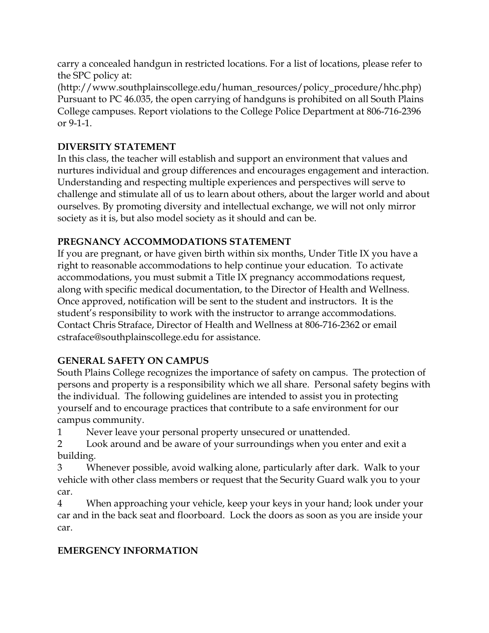carry a concealed handgun in restricted locations. For a list of locations, please refer to the SPC policy at:

(http://www.southplainscollege.edu/human\_resources/policy\_procedure/hhc.php) Pursuant to PC 46.035, the open carrying of handguns is prohibited on all South Plains College campuses. Report violations to the College Police Department at 806-716-2396 or 9-1-1.

## **DIVERSITY STATEMENT**

In this class, the teacher will establish and support an environment that values and nurtures individual and group differences and encourages engagement and interaction. Understanding and respecting multiple experiences and perspectives will serve to challenge and stimulate all of us to learn about others, about the larger world and about ourselves. By promoting diversity and intellectual exchange, we will not only mirror society as it is, but also model society as it should and can be.

## **PREGNANCY ACCOMMODATIONS STATEMENT**

If you are pregnant, or have given birth within six months, Under Title IX you have a right to reasonable accommodations to help continue your education. To activate accommodations, you must submit a Title IX pregnancy accommodations request, along with specific medical documentation, to the Director of Health and Wellness. Once approved, notification will be sent to the student and instructors. It is the student's responsibility to work with the instructor to arrange accommodations. Contact Chris Straface, Director of Health and Wellness at 806-716-2362 or email cstraface@southplainscollege.edu for assistance.

## **GENERAL SAFETY ON CAMPUS**

South Plains College recognizes the importance of safety on campus. The protection of persons and property is a responsibility which we all share. Personal safety begins with the individual. The following guidelines are intended to assist you in protecting yourself and to encourage practices that contribute to a safe environment for our campus community.

1 Never leave your personal property unsecured or unattended.

2 Look around and be aware of your surroundings when you enter and exit a building.

3 Whenever possible, avoid walking alone, particularly after dark. Walk to your vehicle with other class members or request that the Security Guard walk you to your car.

4 When approaching your vehicle, keep your keys in your hand; look under your car and in the back seat and floorboard. Lock the doors as soon as you are inside your car.

# **EMERGENCY INFORMATION**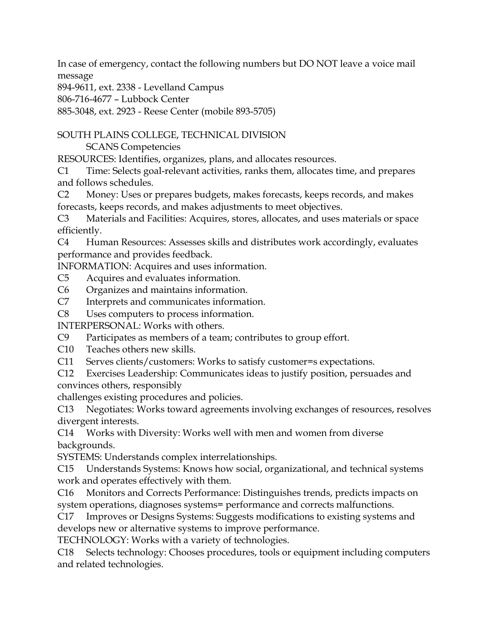In case of emergency, contact the following numbers but DO NOT leave a voice mail message

894-9611, ext. 2338 - Levelland Campus

806-716-4677 – Lubbock Center

885-3048, ext. 2923 - Reese Center (mobile 893-5705)

SOUTH PLAINS COLLEGE, TECHNICAL DIVISION

SCANS Competencies

RESOURCES: Identifies, organizes, plans, and allocates resources.

C1 Time: Selects goal-relevant activities, ranks them, allocates time, and prepares and follows schedules.

C2 Money: Uses or prepares budgets, makes forecasts, keeps records, and makes forecasts, keeps records, and makes adjustments to meet objectives.

C3 Materials and Facilities: Acquires, stores, allocates, and uses materials or space efficiently.

C4 Human Resources: Assesses skills and distributes work accordingly, evaluates performance and provides feedback.

INFORMATION: Acquires and uses information.

- C5 Acquires and evaluates information.
- C6 Organizes and maintains information.
- C7 Interprets and communicates information.
- C8 Uses computers to process information.

INTERPERSONAL: Works with others.

- C9 Participates as members of a team; contributes to group effort.
- C10 Teaches others new skills.
- C11 Serves clients/customers: Works to satisfy customer=s expectations.
- C12 Exercises Leadership: Communicates ideas to justify position, persuades and convinces others, responsibly

challenges existing procedures and policies.

C13 Negotiates: Works toward agreements involving exchanges of resources, resolves divergent interests.

C14 Works with Diversity: Works well with men and women from diverse backgrounds.

SYSTEMS: Understands complex interrelationships.

C15 Understands Systems: Knows how social, organizational, and technical systems work and operates effectively with them.

C16 Monitors and Corrects Performance: Distinguishes trends, predicts impacts on system operations, diagnoses systems= performance and corrects malfunctions.

C17 Improves or Designs Systems: Suggests modifications to existing systems and develops new or alternative systems to improve performance.

TECHNOLOGY: Works with a variety of technologies.

C18 Selects technology: Chooses procedures, tools or equipment including computers and related technologies.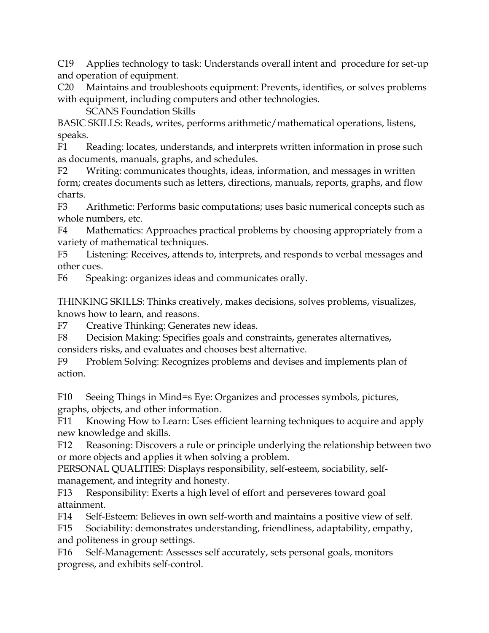C19 Applies technology to task: Understands overall intent and procedure for set-up and operation of equipment.

C20 Maintains and troubleshoots equipment: Prevents, identifies, or solves problems with equipment, including computers and other technologies.

SCANS Foundation Skills

BASIC SKILLS: Reads, writes, performs arithmetic/mathematical operations, listens, speaks.

F1 Reading: locates, understands, and interprets written information in prose such as documents, manuals, graphs, and schedules.

F2 Writing: communicates thoughts, ideas, information, and messages in written form; creates documents such as letters, directions, manuals, reports, graphs, and flow charts.

F3 Arithmetic: Performs basic computations; uses basic numerical concepts such as whole numbers, etc.

F4 Mathematics: Approaches practical problems by choosing appropriately from a variety of mathematical techniques.

F5 Listening: Receives, attends to, interprets, and responds to verbal messages and other cues.

F6 Speaking: organizes ideas and communicates orally.

THINKING SKILLS: Thinks creatively, makes decisions, solves problems, visualizes, knows how to learn, and reasons.

F7 Creative Thinking: Generates new ideas.

F8 Decision Making: Specifies goals and constraints, generates alternatives, considers risks, and evaluates and chooses best alternative.

F9 Problem Solving: Recognizes problems and devises and implements plan of action.

F10 Seeing Things in Mind=s Eye: Organizes and processes symbols, pictures, graphs, objects, and other information.

F11 Knowing How to Learn: Uses efficient learning techniques to acquire and apply new knowledge and skills.

F12 Reasoning: Discovers a rule or principle underlying the relationship between two or more objects and applies it when solving a problem.

PERSONAL QUALITIES: Displays responsibility, self-esteem, sociability, selfmanagement, and integrity and honesty.

F13 Responsibility: Exerts a high level of effort and perseveres toward goal attainment.

F14 Self-Esteem: Believes in own self-worth and maintains a positive view of self.

F15 Sociability: demonstrates understanding, friendliness, adaptability, empathy, and politeness in group settings.

F16 Self-Management: Assesses self accurately, sets personal goals, monitors progress, and exhibits self-control.